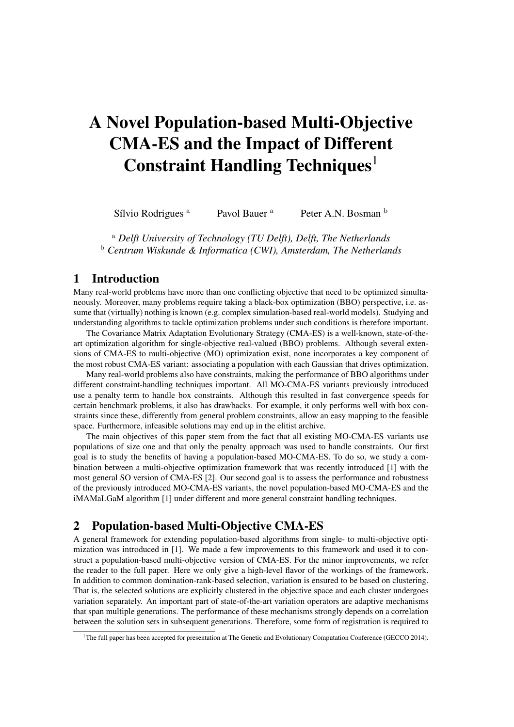# A Novel Population-based Multi-Objective CMA-ES and the Impact of Different Constraint Handling Techniques<sup>1</sup>

Sílvio Rodrigues <sup>a</sup> Pavol Bauer <sup>a</sup> Peter A.N. Bosman <sup>b</sup>

<sup>a</sup> *Delft University of Technology (TU Delft), Delft, The Netherlands* <sup>b</sup> *Centrum Wiskunde & Informatica (CWI), Amsterdam, The Netherlands*

### 1 Introduction

Many real-world problems have more than one conflicting objective that need to be optimized simultaneously. Moreover, many problems require taking a black-box optimization (BBO) perspective, i.e. assume that (virtually) nothing is known (e.g. complex simulation-based real-world models). Studying and understanding algorithms to tackle optimization problems under such conditions is therefore important.

The Covariance Matrix Adaptation Evolutionary Strategy (CMA-ES) is a well-known, state-of-theart optimization algorithm for single-objective real-valued (BBO) problems. Although several extensions of CMA-ES to multi-objective (MO) optimization exist, none incorporates a key component of the most robust CMA-ES variant: associating a population with each Gaussian that drives optimization.

Many real-world problems also have constraints, making the performance of BBO algorithms under different constraint-handling techniques important. All MO-CMA-ES variants previously introduced use a penalty term to handle box constraints. Although this resulted in fast convergence speeds for certain benchmark problems, it also has drawbacks. For example, it only performs well with box constraints since these, differently from general problem constraints, allow an easy mapping to the feasible space. Furthermore, infeasible solutions may end up in the elitist archive.

The main objectives of this paper stem from the fact that all existing MO-CMA-ES variants use populations of size one and that only the penalty approach was used to handle constraints. Our first goal is to study the benefits of having a population-based MO-CMA-ES. To do so, we study a combination between a multi-objective optimization framework that was recently introduced [1] with the most general SO version of CMA-ES [2]. Our second goal is to assess the performance and robustness of the previously introduced MO-CMA-ES variants, the novel population-based MO-CMA-ES and the iMAMaLGaM algorithm [1] under different and more general constraint handling techniques.

## 2 Population-based Multi-Objective CMA-ES

A general framework for extending population-based algorithms from single- to multi-objective optimization was introduced in [1]. We made a few improvements to this framework and used it to construct a population-based multi-objective version of CMA-ES. For the minor improvements, we refer the reader to the full paper. Here we only give a high-level flavor of the workings of the framework. In addition to common domination-rank-based selection, variation is ensured to be based on clustering. That is, the selected solutions are explicitly clustered in the objective space and each cluster undergoes variation separately. An important part of state-of-the-art variation operators are adaptive mechanisms that span multiple generations. The performance of these mechanisms strongly depends on a correlation between the solution sets in subsequent generations. Therefore, some form of registration is required to

<sup>&</sup>lt;sup>1</sup>The full paper has been accepted for presentation at The Genetic and Evolutionary Computation Conference (GECCO 2014).